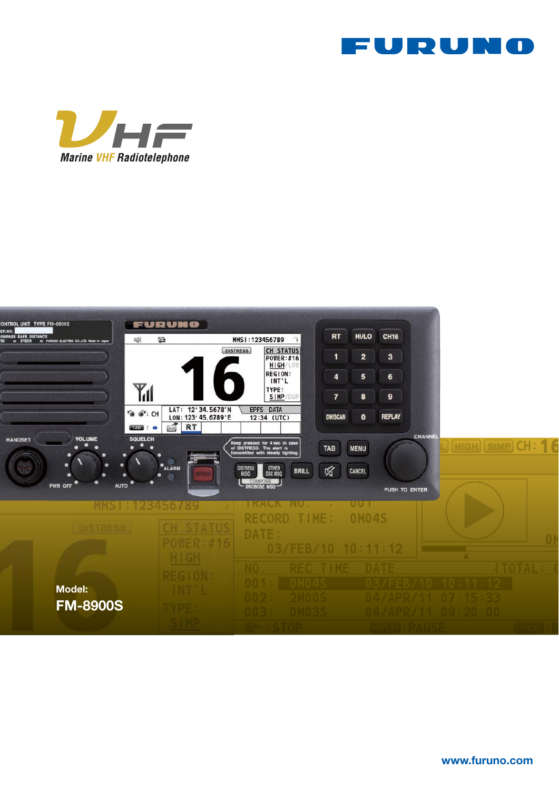





www.furuno.com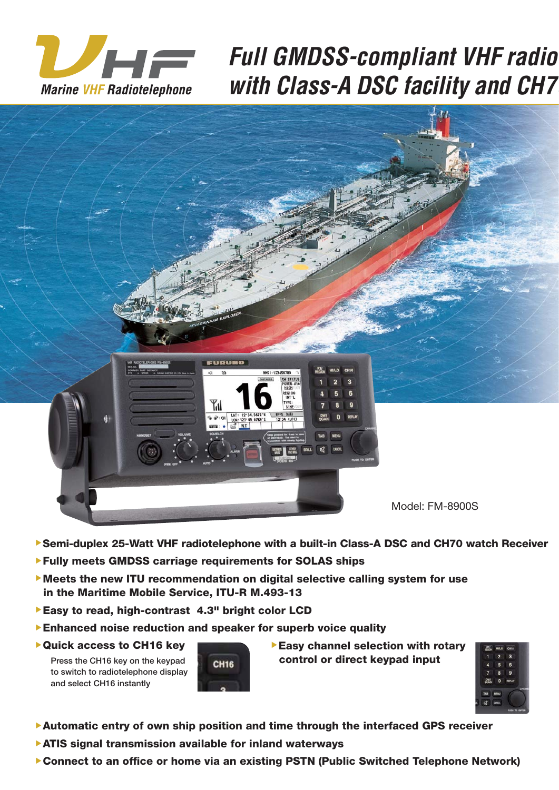

# **Full GMDSS-compliant VHF radio** with Class-A DSC facility and CH7



- ▶Semi-duplex 25-Watt VHF radiotelephone with a built-in Class-A DSC and CH70 watch Receiver
- ▲Fully meets GMDSS carriage requirements for SOLAS ships
- ▶ Meets the new ITU recommendation on digital selective calling system for use in the Maritime Mobile Service, ITU-R M.493-13
- ▶ Easy to read, high-contrast 4.3" bright color LCD
- ▶ Enhanced noise reduction and speaker for superb voice quality
- ▶ Quick access to CH16 key

Press the CH16 key on the keypad to switch to radiotelephone display and select CH16 instantly



 $\blacktriangleright$  Easy channel selection with rotary control or direct keypad input



- ▲Automatic entry of own ship position and time through the interfaced GPS receiver
- ▶ ATIS signal transmission available for inland waterways
- ▶ Connect to an office or home via an existing PSTN (Public Switched Telephone Network)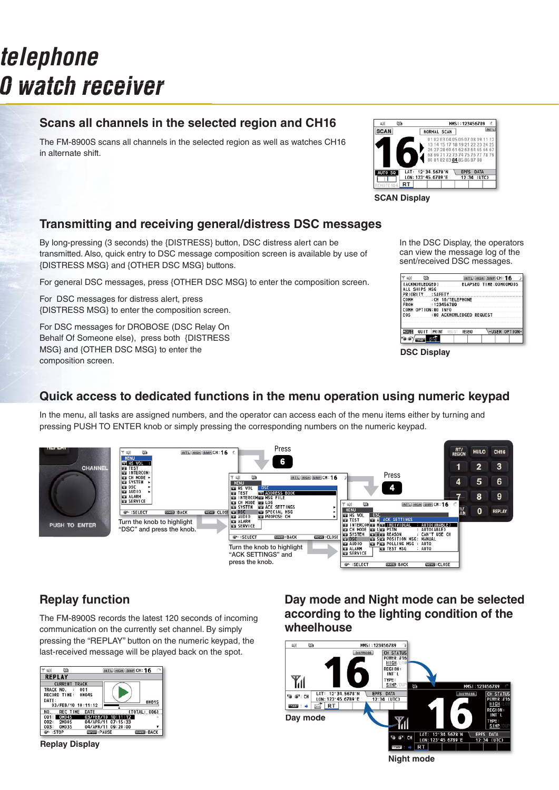# *Full GMDSS-compliant VHF radiotelephone with Class-A DSC facility and CH70 watch receiver*

# **Scans all channels in the selected region and CH16**

The FM-8900S scans all channels in the selected region as well as watches CH16 in alternate shift.



**SCAN Display**

## **Transmitting and receiving general/distress DSC messages**

By long-pressing (3 seconds) the {DISTRESS} button, DSC distress alert can be transmitted. Also, quick entry to DSC message composition screen is available by use of {DISTRESS MSG} and {OTHER DSC MSG} buttons.

For general DSC messages, press {OTHER DSC MSG} to enter the composition screen.

For DSC messages for distress alert, press {DISTRESS MSG} to enter the composition screen.

For DSC messages for DROBOSE (DSC Relay On Behalf Of Someone else), press both {DISTRESS MSG} and {OTHER DSC MSG} to enter the composition screen.

In the DSC Display, the operators can view the message log of the sent/received DSC messages.

|             | ⊠                     |          |                  | <b>INT'L</b>             | HIGH SIMP CH: 16       |               |
|-------------|-----------------------|----------|------------------|--------------------------|------------------------|---------------|
|             | <b>ACKNOWLEDGED I</b> |          |                  |                          | ELAPSED TIME:00H00M00S |               |
|             | SHIPS MSG             |          |                  |                          |                        |               |
|             | ORITY                 | : SAFETY |                  |                          |                        |               |
| OMM         |                       |          | :CH 16/TELEPHONE |                          |                        |               |
| <b>FROM</b> |                       |          | : 123456789      |                          |                        |               |
| сомн        | OPTION:NO             |          | <b>INFO</b>      |                          |                        |               |
| <b>EOS</b>  |                       |          |                  | :NO ACKNOWLEDGED REQUEST |                        |               |
|             | ou                    | PRINT    | REGIST           | RESEND                   |                        | -USER OPTION- |
|             |                       |          |                  |                          |                        |               |
|             |                       |          |                  |                          |                        |               |

**DSC Display**

### **Quick access to dedicated functions in the menu operation using numeric keypad**

In the menu, all tasks are assigned numbers, and the operator can access each of the menu items either by turning and pressing PUSH TO ENTER knob or simply pressing the corresponding numbers on the numeric keypad.



The FM-8900S records the latest 120 seconds of incoming communication on the currently set channel. By simply pressing the "REPLAY" button on the numeric keypad, the last-received message will be played back on the spot.



**Replay Display**

**Replay function Day mode and Night mode can be selected according to the lighting condition of the wheelhouse**